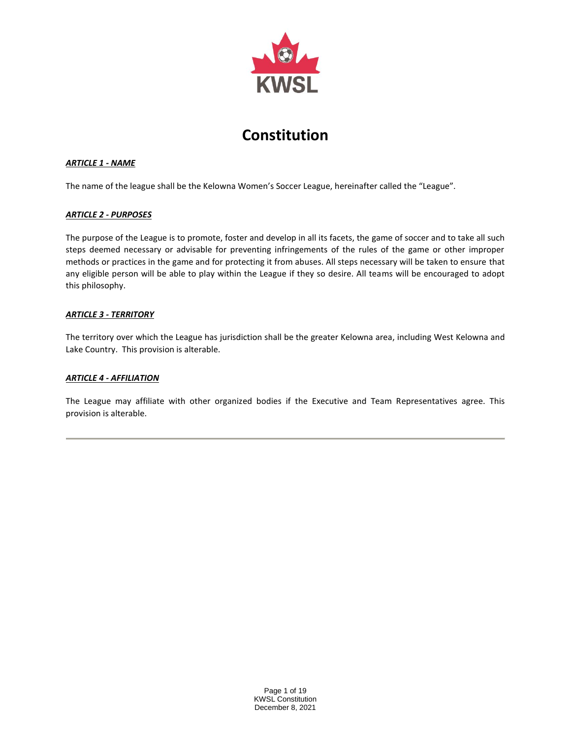

# **Constitution**

# *ARTICLE 1 - NAME*

The name of the league shall be the Kelowna Women's Soccer League, hereinafter called the "League".

## *ARTICLE 2 - PURPOSES*

The purpose of the League is to promote, foster and develop in all its facets, the game of soccer and to take all such steps deemed necessary or advisable for preventing infringements of the rules of the game or other improper methods or practices in the game and for protecting it from abuses. All steps necessary will be taken to ensure that any eligible person will be able to play within the League if they so desire. All teams will be encouraged to adopt this philosophy.

## *ARTICLE 3 - TERRITORY*

The territory over which the League has jurisdiction shall be the greater Kelowna area, including West Kelowna and Lake Country. This provision is alterable.

## *ARTICLE 4 - AFFILIATION*

The League may affiliate with other organized bodies if the Executive and Team Representatives agree. This provision is alterable.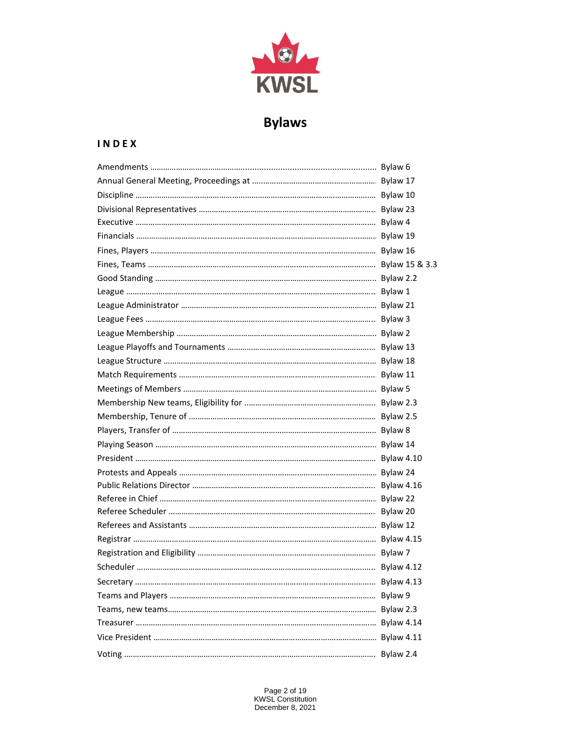

# **Bylaws**

# **I N D E X**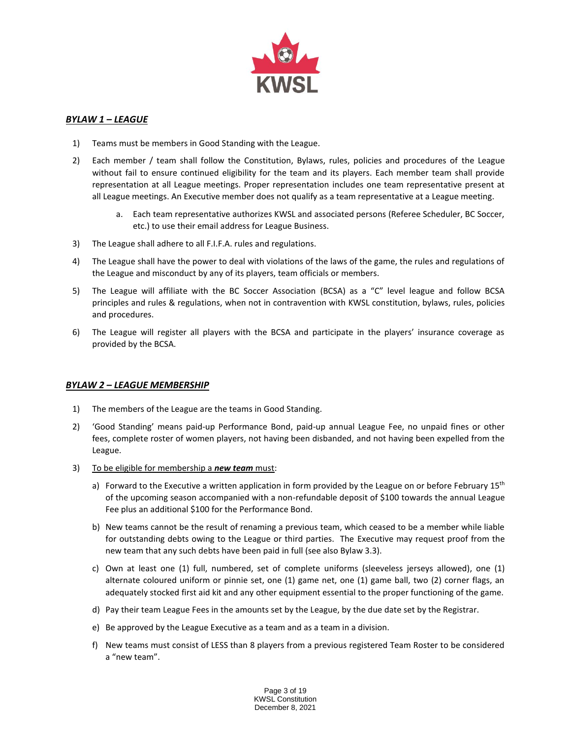

# *BYLAW 1 – LEAGUE*

- 1) Teams must be members in Good Standing with the League.
- 2) Each member / team shall follow the Constitution, Bylaws, rules, policies and procedures of the League without fail to ensure continued eligibility for the team and its players. Each member team shall provide representation at all League meetings. Proper representation includes one team representative present at all League meetings. An Executive member does not qualify as a team representative at a League meeting.
	- a. Each team representative authorizes KWSL and associated persons (Referee Scheduler, BC Soccer, etc.) to use their email address for League Business.
- 3) The League shall adhere to all F.I.F.A. rules and regulations.
- 4) The League shall have the power to deal with violations of the laws of the game, the rules and regulations of the League and misconduct by any of its players, team officials or members.
- 5) The League will affiliate with the BC Soccer Association (BCSA) as a "C" level league and follow BCSA principles and rules & regulations, when not in contravention with KWSL constitution, bylaws, rules, policies and procedures.
- 6) The League will register all players with the BCSA and participate in the players' insurance coverage as provided by the BCSA.

## *BYLAW 2 – LEAGUE MEMBERSHIP*

- 1) The members of the League are the teams in Good Standing.
- 2) 'Good Standing' means paid-up Performance Bond, paid-up annual League Fee, no unpaid fines or other fees, complete roster of women players, not having been disbanded, and not having been expelled from the League.
- 3) To be eligible for membership a *new team* must:
	- a) Forward to the Executive a written application in form provided by the League on or before February  $15<sup>th</sup>$ of the upcoming season accompanied with a non-refundable deposit of \$100 towards the annual League Fee plus an additional \$100 for the Performance Bond.
	- b) New teams cannot be the result of renaming a previous team, which ceased to be a member while liable for outstanding debts owing to the League or third parties. The Executive may request proof from the new team that any such debts have been paid in full (see also Bylaw 3.3).
	- c) Own at least one (1) full, numbered, set of complete uniforms (sleeveless jerseys allowed), one (1) alternate coloured uniform or pinnie set, one (1) game net, one (1) game ball, two (2) corner flags, an adequately stocked first aid kit and any other equipment essential to the proper functioning of the game.
	- d) Pay their team League Fees in the amounts set by the League, by the due date set by the Registrar.
	- e) Be approved by the League Executive as a team and as a team in a division.
	- f) New teams must consist of LESS than 8 players from a previous registered Team Roster to be considered a "new team".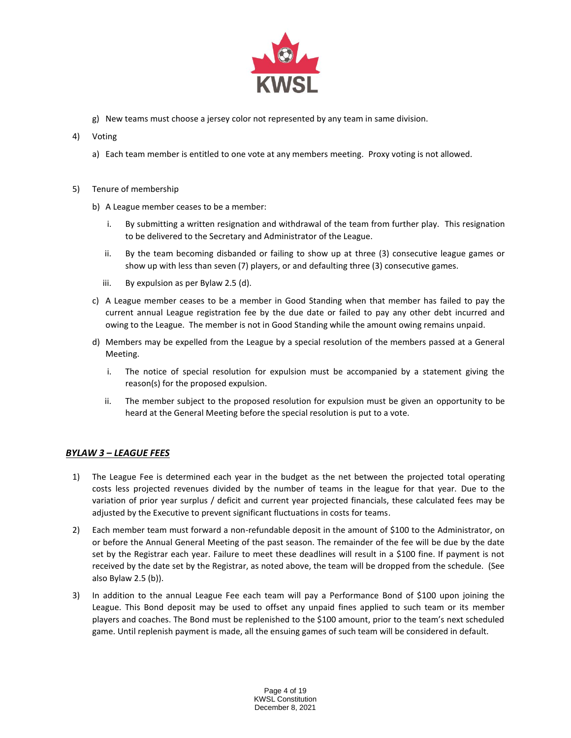

- g) New teams must choose a jersey color not represented by any team in same division.
- 4) Voting
	- a) Each team member is entitled to one vote at any members meeting. Proxy voting is not allowed.
- 5) Tenure of membership
	- b) A League member ceases to be a member:
		- i. By submitting a written resignation and withdrawal of the team from further play. This resignation to be delivered to the Secretary and Administrator of the League.
		- ii. By the team becoming disbanded or failing to show up at three (3) consecutive league games or show up with less than seven (7) players, or and defaulting three (3) consecutive games.
		- iii. By expulsion as per Bylaw 2.5 (d).
	- c) A League member ceases to be a member in Good Standing when that member has failed to pay the current annual League registration fee by the due date or failed to pay any other debt incurred and owing to the League. The member is not in Good Standing while the amount owing remains unpaid.
	- d) Members may be expelled from the League by a special resolution of the members passed at a General Meeting.
		- i. The notice of special resolution for expulsion must be accompanied by a statement giving the reason(s) for the proposed expulsion.
		- ii. The member subject to the proposed resolution for expulsion must be given an opportunity to be heard at the General Meeting before the special resolution is put to a vote.

# *BYLAW 3 – LEAGUE FEES*

- 1) The League Fee is determined each year in the budget as the net between the projected total operating costs less projected revenues divided by the number of teams in the league for that year. Due to the variation of prior year surplus / deficit and current year projected financials, these calculated fees may be adjusted by the Executive to prevent significant fluctuations in costs for teams.
- 2) Each member team must forward a non-refundable deposit in the amount of \$100 to the Administrator, on or before the Annual General Meeting of the past season. The remainder of the fee will be due by the date set by the Registrar each year. Failure to meet these deadlines will result in a \$100 fine. If payment is not received by the date set by the Registrar, as noted above, the team will be dropped from the schedule. (See also Bylaw 2.5 (b)).
- 3) In addition to the annual League Fee each team will pay a Performance Bond of \$100 upon joining the League. This Bond deposit may be used to offset any unpaid fines applied to such team or its member players and coaches. The Bond must be replenished to the \$100 amount, prior to the team's next scheduled game. Until replenish payment is made, all the ensuing games of such team will be considered in default.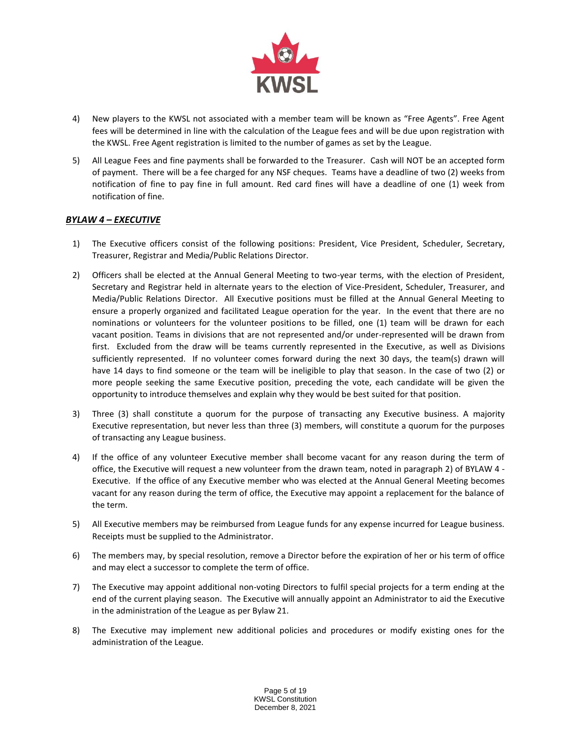

- 4) New players to the KWSL not associated with a member team will be known as "Free Agents". Free Agent fees will be determined in line with the calculation of the League fees and will be due upon registration with the KWSL. Free Agent registration is limited to the number of games as set by the League.
- 5) All League Fees and fine payments shall be forwarded to the Treasurer. Cash will NOT be an accepted form of payment. There will be a fee charged for any NSF cheques. Teams have a deadline of two (2) weeks from notification of fine to pay fine in full amount. Red card fines will have a deadline of one (1) week from notification of fine.

# *BYLAW 4 – EXECUTIVE*

- 1) The Executive officers consist of the following positions: President, Vice President, Scheduler, Secretary, Treasurer, Registrar and Media/Public Relations Director.
- 2) Officers shall be elected at the Annual General Meeting to two-year terms, with the election of President, Secretary and Registrar held in alternate years to the election of Vice-President, Scheduler, Treasurer, and Media/Public Relations Director. All Executive positions must be filled at the Annual General Meeting to ensure a properly organized and facilitated League operation for the year. In the event that there are no nominations or volunteers for the volunteer positions to be filled, one (1) team will be drawn for each vacant position. Teams in divisions that are not represented and/or under-represented will be drawn from first. Excluded from the draw will be teams currently represented in the Executive, as well as Divisions sufficiently represented. If no volunteer comes forward during the next 30 days, the team(s) drawn will have 14 days to find someone or the team will be ineligible to play that season. In the case of two (2) or more people seeking the same Executive position, preceding the vote, each candidate will be given the opportunity to introduce themselves and explain why they would be best suited for that position.
- 3) Three (3) shall constitute a quorum for the purpose of transacting any Executive business. A majority Executive representation, but never less than three (3) members, will constitute a quorum for the purposes of transacting any League business.
- 4) If the office of any volunteer Executive member shall become vacant for any reason during the term of office, the Executive will request a new volunteer from the drawn team, noted in paragraph 2) of BYLAW 4 - Executive. If the office of any Executive member who was elected at the Annual General Meeting becomes vacant for any reason during the term of office, the Executive may appoint a replacement for the balance of the term.
- 5) All Executive members may be reimbursed from League funds for any expense incurred for League business. Receipts must be supplied to the Administrator.
- 6) The members may, by special resolution, remove a Director before the expiration of her or his term of office and may elect a successor to complete the term of office.
- 7) The Executive may appoint additional non-voting Directors to fulfil special projects for a term ending at the end of the current playing season. The Executive will annually appoint an Administrator to aid the Executive in the administration of the League as per Bylaw 21.
- 8) The Executive may implement new additional policies and procedures or modify existing ones for the administration of the League.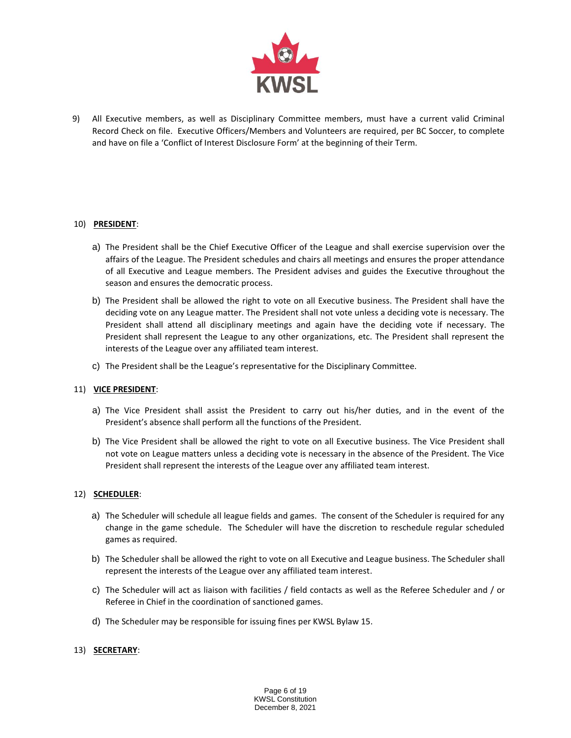

9) All Executive members, as well as Disciplinary Committee members, must have a current valid Criminal Record Check on file. Executive Officers/Members and Volunteers are required, per BC Soccer, to complete and have on file a 'Conflict of Interest Disclosure Form' at the beginning of their Term.

## 10) **PRESIDENT**:

- a) The President shall be the Chief Executive Officer of the League and shall exercise supervision over the affairs of the League. The President schedules and chairs all meetings and ensures the proper attendance of all Executive and League members. The President advises and guides the Executive throughout the season and ensures the democratic process.
- b) The President shall be allowed the right to vote on all Executive business. The President shall have the deciding vote on any League matter. The President shall not vote unless a deciding vote is necessary. The President shall attend all disciplinary meetings and again have the deciding vote if necessary. The President shall represent the League to any other organizations, etc. The President shall represent the interests of the League over any affiliated team interest.
- c) The President shall be the League's representative for the Disciplinary Committee.

# 11) **VICE PRESIDENT**:

- a) The Vice President shall assist the President to carry out his/her duties, and in the event of the President's absence shall perform all the functions of the President.
- b) The Vice President shall be allowed the right to vote on all Executive business. The Vice President shall not vote on League matters unless a deciding vote is necessary in the absence of the President. The Vice President shall represent the interests of the League over any affiliated team interest.

#### 12) **SCHEDULER**:

- a) The Scheduler will schedule all league fields and games. The consent of the Scheduler is required for any change in the game schedule. The Scheduler will have the discretion to reschedule regular scheduled games as required.
- b) The Scheduler shall be allowed the right to vote on all Executive and League business. The Scheduler shall represent the interests of the League over any affiliated team interest.
- c) The Scheduler will act as liaison with facilities / field contacts as well as the Referee Scheduler and / or Referee in Chief in the coordination of sanctioned games.
- d) The Scheduler may be responsible for issuing fines per KWSL Bylaw 15.

#### 13) **SECRETARY**: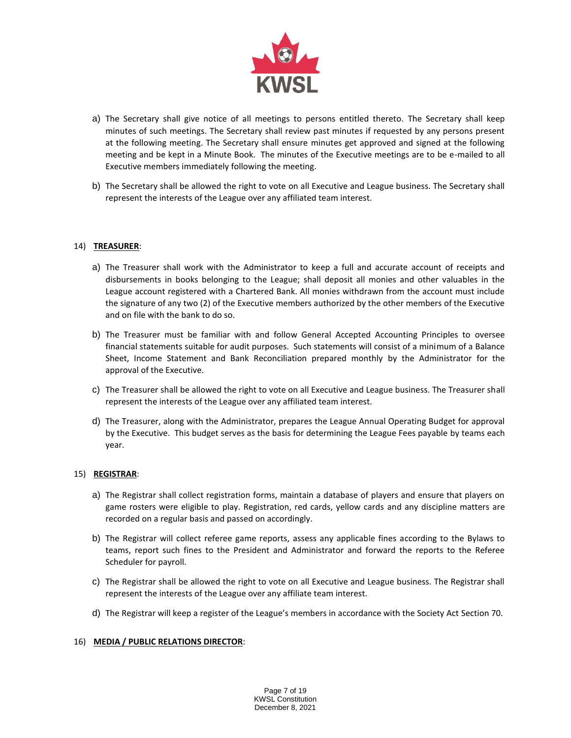

- a) The Secretary shall give notice of all meetings to persons entitled thereto. The Secretary shall keep minutes of such meetings. The Secretary shall review past minutes if requested by any persons present at the following meeting. The Secretary shall ensure minutes get approved and signed at the following meeting and be kept in a Minute Book. The minutes of the Executive meetings are to be e-mailed to all Executive members immediately following the meeting.
- b) The Secretary shall be allowed the right to vote on all Executive and League business. The Secretary shall represent the interests of the League over any affiliated team interest.

## 14) **TREASURER**:

- a) The Treasurer shall work with the Administrator to keep a full and accurate account of receipts and disbursements in books belonging to the League; shall deposit all monies and other valuables in the League account registered with a Chartered Bank. All monies withdrawn from the account must include the signature of any two (2) of the Executive members authorized by the other members of the Executive and on file with the bank to do so.
- b) The Treasurer must be familiar with and follow General Accepted Accounting Principles to oversee financial statements suitable for audit purposes. Such statements will consist of a minimum of a Balance Sheet, Income Statement and Bank Reconciliation prepared monthly by the Administrator for the approval of the Executive.
- c) The Treasurer shall be allowed the right to vote on all Executive and League business. The Treasurer shall represent the interests of the League over any affiliated team interest.
- d) The Treasurer, along with the Administrator, prepares the League Annual Operating Budget for approval by the Executive. This budget serves as the basis for determining the League Fees payable by teams each year.

#### 15) **REGISTRAR**:

- a) The Registrar shall collect registration forms, maintain a database of players and ensure that players on game rosters were eligible to play. Registration, red cards, yellow cards and any discipline matters are recorded on a regular basis and passed on accordingly.
- b) The Registrar will collect referee game reports, assess any applicable fines according to the Bylaws to teams, report such fines to the President and Administrator and forward the reports to the Referee Scheduler for payroll.
- c) The Registrar shall be allowed the right to vote on all Executive and League business. The Registrar shall represent the interests of the League over any affiliate team interest.
- d) The Registrar will keep a register of the League's members in accordance with the Society Act Section 70.

#### 16) **MEDIA / PUBLIC RELATIONS DIRECTOR**: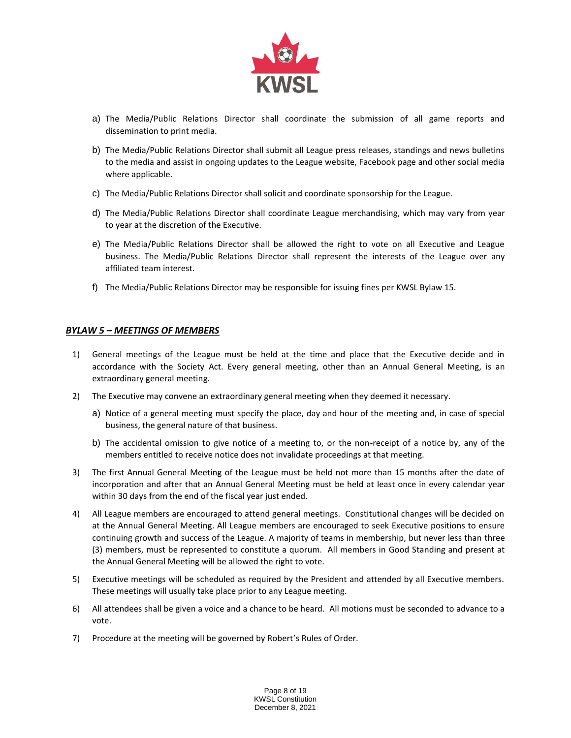

- a) The Media/Public Relations Director shall coordinate the submission of all game reports and dissemination to print media.
- b) The Media/Public Relations Director shall submit all League press releases, standings and news bulletins to the media and assist in ongoing updates to the League website, Facebook page and other social media where applicable.
- c) The Media/Public Relations Director shall solicit and coordinate sponsorship for the League.
- d) The Media/Public Relations Director shall coordinate League merchandising, which may vary from year to year at the discretion of the Executive.
- e) The Media/Public Relations Director shall be allowed the right to vote on all Executive and League business. The Media/Public Relations Director shall represent the interests of the League over any affiliated team interest.
- f) The Media/Public Relations Director may be responsible for issuing fines per KWSL Bylaw 15.

# *BYLAW 5 – MEETINGS OF MEMBERS*

- 1) General meetings of the League must be held at the time and place that the Executive decide and in accordance with the Society Act. Every general meeting, other than an Annual General Meeting, is an extraordinary general meeting.
- 2) The Executive may convene an extraordinary general meeting when they deemed it necessary.
	- a) Notice of a general meeting must specify the place, day and hour of the meeting and, in case of special business, the general nature of that business.
	- b) The accidental omission to give notice of a meeting to, or the non-receipt of a notice by, any of the members entitled to receive notice does not invalidate proceedings at that meeting.
- 3) The first Annual General Meeting of the League must be held not more than 15 months after the date of incorporation and after that an Annual General Meeting must be held at least once in every calendar year within 30 days from the end of the fiscal year just ended.
- 4) All League members are encouraged to attend general meetings. Constitutional changes will be decided on at the Annual General Meeting. All League members are encouraged to seek Executive positions to ensure continuing growth and success of the League. A majority of teams in membership, but never less than three (3) members, must be represented to constitute a quorum. All members in Good Standing and present at the Annual General Meeting will be allowed the right to vote.
- 5) Executive meetings will be scheduled as required by the President and attended by all Executive members. These meetings will usually take place prior to any League meeting.
- 6) All attendees shall be given a voice and a chance to be heard. All motions must be seconded to advance to a vote.
- 7) Procedure at the meeting will be governed by Robert's Rules of Order.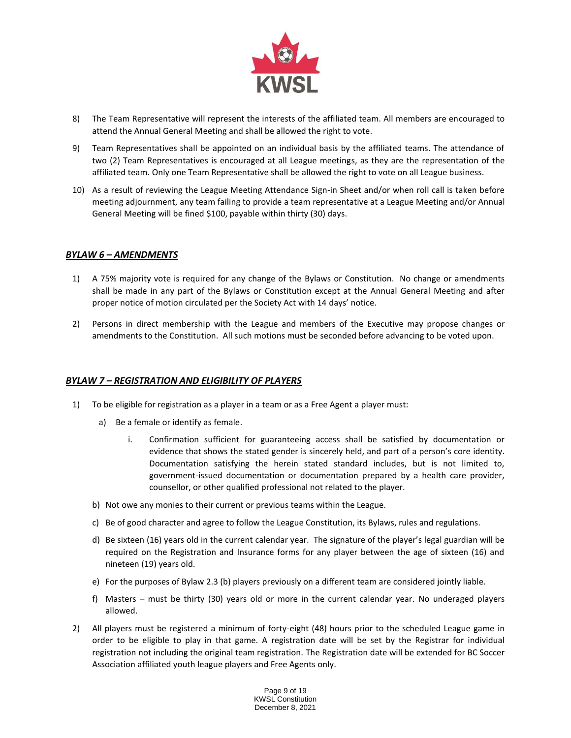

- 8) The Team Representative will represent the interests of the affiliated team. All members are encouraged to attend the Annual General Meeting and shall be allowed the right to vote.
- 9) Team Representatives shall be appointed on an individual basis by the affiliated teams. The attendance of two (2) Team Representatives is encouraged at all League meetings, as they are the representation of the affiliated team. Only one Team Representative shall be allowed the right to vote on all League business.
- 10) As a result of reviewing the League Meeting Attendance Sign-in Sheet and/or when roll call is taken before meeting adjournment, any team failing to provide a team representative at a League Meeting and/or Annual General Meeting will be fined \$100, payable within thirty (30) days.

## *BYLAW 6 – AMENDMENTS*

- 1) A 75% majority vote is required for any change of the Bylaws or Constitution. No change or amendments shall be made in any part of the Bylaws or Constitution except at the Annual General Meeting and after proper notice of motion circulated per the Society Act with 14 days' notice.
- 2) Persons in direct membership with the League and members of the Executive may propose changes or amendments to the Constitution. All such motions must be seconded before advancing to be voted upon.

## *BYLAW 7 – REGISTRATION AND ELIGIBILITY OF PLAYERS*

- 1) To be eligible for registration as a player in a team or as a Free Agent a player must:
	- a) Be a female or identify as female.
		- i. Confirmation sufficient for guaranteeing access shall be satisfied by documentation or evidence that shows the stated gender is sincerely held, and part of a person's core identity. Documentation satisfying the herein stated standard includes, but is not limited to, government-issued documentation or documentation prepared by a health care provider, counsellor, or other qualified professional not related to the player.
	- b) Not owe any monies to their current or previous teams within the League.
	- c) Be of good character and agree to follow the League Constitution, its Bylaws, rules and regulations.
	- d) Be sixteen (16) years old in the current calendar year. The signature of the player's legal guardian will be required on the Registration and Insurance forms for any player between the age of sixteen (16) and nineteen (19) years old.
	- e) For the purposes of Bylaw 2.3 (b) players previously on a different team are considered jointly liable.
	- f) Masters must be thirty (30) years old or more in the current calendar year. No underaged players allowed.
- 2) All players must be registered a minimum of forty-eight (48) hours prior to the scheduled League game in order to be eligible to play in that game. A registration date will be set by the Registrar for individual registration not including the original team registration. The Registration date will be extended for BC Soccer Association affiliated youth league players and Free Agents only.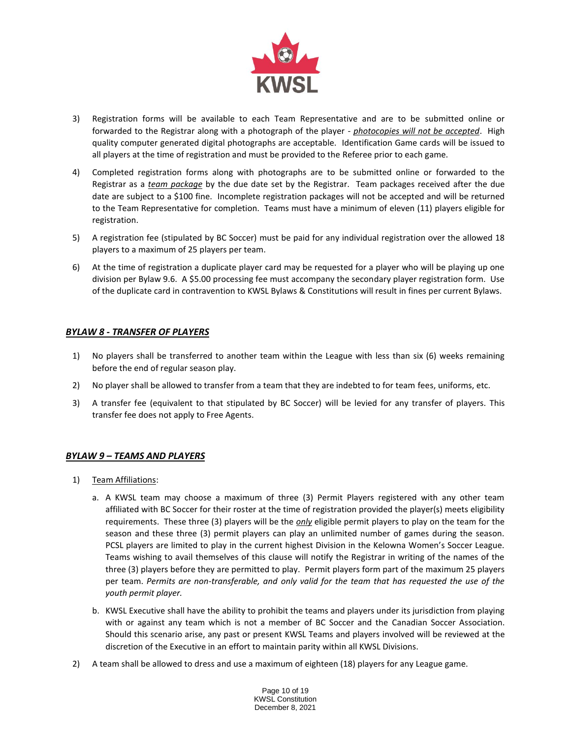

- 3) Registration forms will be available to each Team Representative and are to be submitted online or forwarded to the Registrar along with a photograph of the player *- photocopies will not be accepted*. High quality computer generated digital photographs are acceptable. Identification Game cards will be issued to all players at the time of registration and must be provided to the Referee prior to each game.
- 4) Completed registration forms along with photographs are to be submitted online or forwarded to the Registrar as a *team package* by the due date set by the Registrar. Team packages received after the due date are subject to a \$100 fine. Incomplete registration packages will not be accepted and will be returned to the Team Representative for completion. Teams must have a minimum of eleven (11) players eligible for registration.
- 5) A registration fee (stipulated by BC Soccer) must be paid for any individual registration over the allowed 18 players to a maximum of 25 players per team.
- 6) At the time of registration a duplicate player card may be requested for a player who will be playing up one division per Bylaw 9.6. A \$5.00 processing fee must accompany the secondary player registration form. Use of the duplicate card in contravention to KWSL Bylaws & Constitutions will result in fines per current Bylaws.

# *BYLAW 8 - TRANSFER OF PLAYERS*

- 1) No players shall be transferred to another team within the League with less than six (6) weeks remaining before the end of regular season play.
- 2) No player shall be allowed to transfer from a team that they are indebted to for team fees, uniforms, etc.
- 3) A transfer fee (equivalent to that stipulated by BC Soccer) will be levied for any transfer of players. This transfer fee does not apply to Free Agents.

# *BYLAW 9 – TEAMS AND PLAYERS*

- 1) Team Affiliations:
	- a. A KWSL team may choose a maximum of three (3) Permit Players registered with any other team affiliated with BC Soccer for their roster at the time of registration provided the player(s) meets eligibility requirements. These three (3) players will be the *only* eligible permit players to play on the team for the season and these three (3) permit players can play an unlimited number of games during the season. PCSL players are limited to play in the current highest Division in the Kelowna Women's Soccer League. Teams wishing to avail themselves of this clause will notify the Registrar in writing of the names of the three (3) players before they are permitted to play. Permit players form part of the maximum 25 players per team. *Permits are non-transferable, and only valid for the team that has requested the use of the youth permit player.*
	- b. KWSL Executive shall have the ability to prohibit the teams and players under its jurisdiction from playing with or against any team which is not a member of BC Soccer and the Canadian Soccer Association. Should this scenario arise, any past or present KWSL Teams and players involved will be reviewed at the discretion of the Executive in an effort to maintain parity within all KWSL Divisions.
- 2) A team shall be allowed to dress and use a maximum of eighteen (18) players for any League game.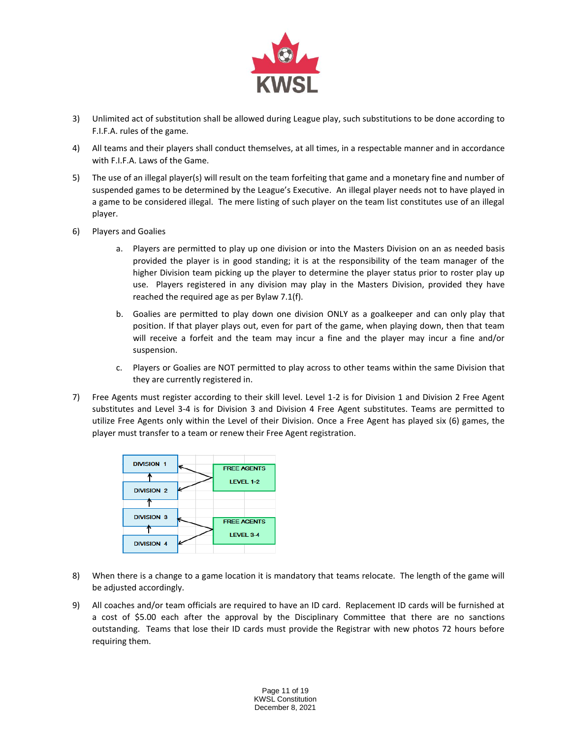

- 3) Unlimited act of substitution shall be allowed during League play, such substitutions to be done according to F.I.F.A. rules of the game.
- 4) All teams and their players shall conduct themselves, at all times, in a respectable manner and in accordance with F.I.F.A. Laws of the Game.
- 5) The use of an illegal player(s) will result on the team forfeiting that game and a monetary fine and number of suspended games to be determined by the League's Executive. An illegal player needs not to have played in a game to be considered illegal. The mere listing of such player on the team list constitutes use of an illegal player.
- 6) Players and Goalies
	- a. Players are permitted to play up one division or into the Masters Division on an as needed basis provided the player is in good standing; it is at the responsibility of the team manager of the higher Division team picking up the player to determine the player status prior to roster play up use. Players registered in any division may play in the Masters Division, provided they have reached the required age as per Bylaw 7.1(f).
	- b. Goalies are permitted to play down one division ONLY as a goalkeeper and can only play that position. If that player plays out, even for part of the game, when playing down, then that team will receive a forfeit and the team may incur a fine and the player may incur a fine and/or suspension.
	- c. Players or Goalies are NOT permitted to play across to other teams within the same Division that they are currently registered in.
- 7) Free Agents must register according to their skill level. Level 1-2 is for Division 1 and Division 2 Free Agent substitutes and Level 3-4 is for Division 3 and Division 4 Free Agent substitutes. Teams are permitted to utilize Free Agents only within the Level of their Division. Once a Free Agent has played six (6) games, the player must transfer to a team or renew their Free Agent registration.



- 8) When there is a change to a game location it is mandatory that teams relocate. The length of the game will be adjusted accordingly.
- 9) All coaches and/or team officials are required to have an ID card. Replacement ID cards will be furnished at a cost of \$5.00 each after the approval by the Disciplinary Committee that there are no sanctions outstanding. Teams that lose their ID cards must provide the Registrar with new photos 72 hours before requiring them.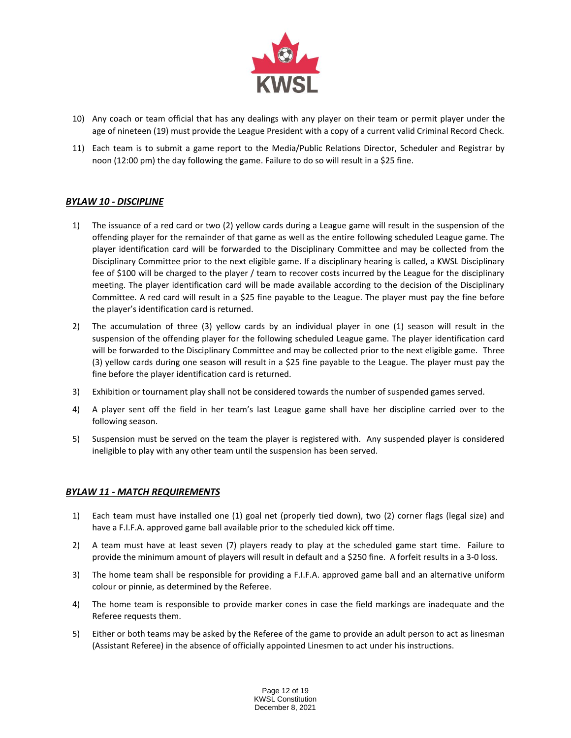

- 10) Any coach or team official that has any dealings with any player on their team or permit player under the age of nineteen (19) must provide the League President with a copy of a current valid Criminal Record Check.
- 11) Each team is to submit a game report to the Media/Public Relations Director, Scheduler and Registrar by noon (12:00 pm) the day following the game. Failure to do so will result in a \$25 fine.

# *BYLAW 10 - DISCIPLINE*

- 1) The issuance of a red card or two (2) yellow cards during a League game will result in the suspension of the offending player for the remainder of that game as well as the entire following scheduled League game. The player identification card will be forwarded to the Disciplinary Committee and may be collected from the Disciplinary Committee prior to the next eligible game. If a disciplinary hearing is called, a KWSL Disciplinary fee of \$100 will be charged to the player / team to recover costs incurred by the League for the disciplinary meeting. The player identification card will be made available according to the decision of the Disciplinary Committee. A red card will result in a \$25 fine payable to the League. The player must pay the fine before the player's identification card is returned.
- 2) The accumulation of three (3) yellow cards by an individual player in one (1) season will result in the suspension of the offending player for the following scheduled League game. The player identification card will be forwarded to the Disciplinary Committee and may be collected prior to the next eligible game. Three (3) yellow cards during one season will result in a \$25 fine payable to the League. The player must pay the fine before the player identification card is returned.
- 3) Exhibition or tournament play shall not be considered towards the number of suspended games served.
- 4) A player sent off the field in her team's last League game shall have her discipline carried over to the following season.
- 5) Suspension must be served on the team the player is registered with. Any suspended player is considered ineligible to play with any other team until the suspension has been served.

## *BYLAW 11 - MATCH REQUIREMENTS*

- 1) Each team must have installed one (1) goal net (properly tied down), two (2) corner flags (legal size) and have a F.I.F.A. approved game ball available prior to the scheduled kick off time.
- 2) A team must have at least seven (7) players ready to play at the scheduled game start time. Failure to provide the minimum amount of players will result in default and a \$250 fine. A forfeit results in a 3-0 loss.
- 3) The home team shall be responsible for providing a F.I.F.A. approved game ball and an alternative uniform colour or pinnie, as determined by the Referee.
- 4) The home team is responsible to provide marker cones in case the field markings are inadequate and the Referee requests them.
- 5) Either or both teams may be asked by the Referee of the game to provide an adult person to act as linesman (Assistant Referee) in the absence of officially appointed Linesmen to act under his instructions.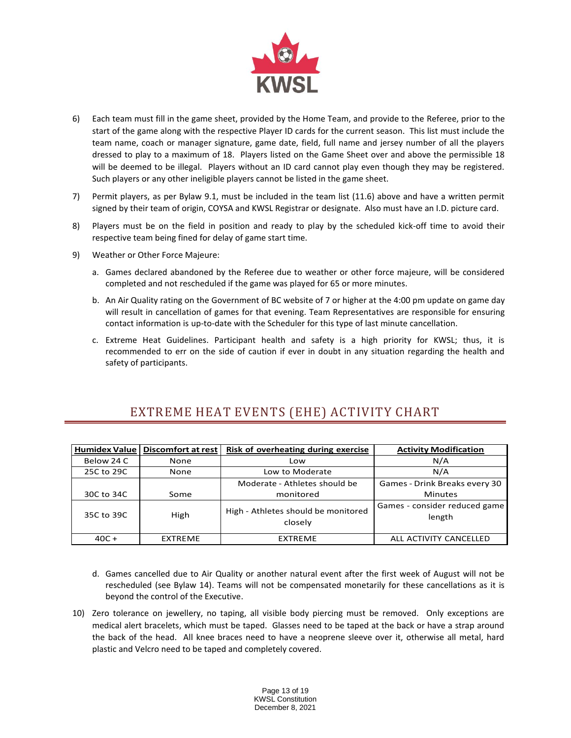

- 6) Each team must fill in the game sheet, provided by the Home Team, and provide to the Referee, prior to the start of the game along with the respective Player ID cards for the current season. This list must include the team name, coach or manager signature, game date, field, full name and jersey number of all the players dressed to play to a maximum of 18. Players listed on the Game Sheet over and above the permissible 18 will be deemed to be illegal. Players without an ID card cannot play even though they may be registered. Such players or any other ineligible players cannot be listed in the game sheet.
- 7) Permit players, as per Bylaw 9.1, must be included in the team list (11.6) above and have a written permit signed by their team of origin, COYSA and KWSL Registrar or designate. Also must have an I.D. picture card.
- 8) Players must be on the field in position and ready to play by the scheduled kick-off time to avoid their respective team being fined for delay of game start time.
- 9) Weather or Other Force Majeure:
	- a. Games declared abandoned by the Referee due to weather or other force majeure, will be considered completed and not rescheduled if the game was played for 65 or more minutes.
	- b. An Air Quality rating on the Government of BC website of 7 or higher at the 4:00 pm update on game day will result in cancellation of games for that evening. Team Representatives are responsible for ensuring contact information is up-to-date with the Scheduler for this type of last minute cancellation.
	- c. Extreme Heat Guidelines. Participant health and safety is a high priority for KWSL; thus, it is recommended to err on the side of caution if ever in doubt in any situation regarding the health and safety of participants.

# EXTREME HEAT EVENTS (EHE) ACTIVITY CHART

| <b>Humidex Value</b> | <b>Discomfort at rest</b> | Risk of overheating during exercise            | <b>Activity Modification</b>            |
|----------------------|---------------------------|------------------------------------------------|-----------------------------------------|
| Below 24 C           | None                      | Low                                            | N/A                                     |
| 25C to 29C           | None                      | Low to Moderate                                | N/A                                     |
|                      |                           | Moderate - Athletes should be                  | Games - Drink Breaks every 30           |
| 30C to 34C           | Some                      | monitored                                      | <b>Minutes</b>                          |
| 35C to 39C           | High                      | High - Athletes should be monitored<br>closely | Games - consider reduced game<br>length |
| $40C +$              | <b>EXTREME</b>            | <b>EXTREME</b>                                 | ALL ACTIVITY CANCELLED                  |

- d. Games cancelled due to Air Quality or another natural event after the first week of August will not be rescheduled (see Bylaw 14). Teams will not be compensated monetarily for these cancellations as it is beyond the control of the Executive.
- 10) Zero tolerance on jewellery, no taping, all visible body piercing must be removed. Only exceptions are medical alert bracelets, which must be taped. Glasses need to be taped at the back or have a strap around the back of the head. All knee braces need to have a neoprene sleeve over it, otherwise all metal, hard plastic and Velcro need to be taped and completely covered.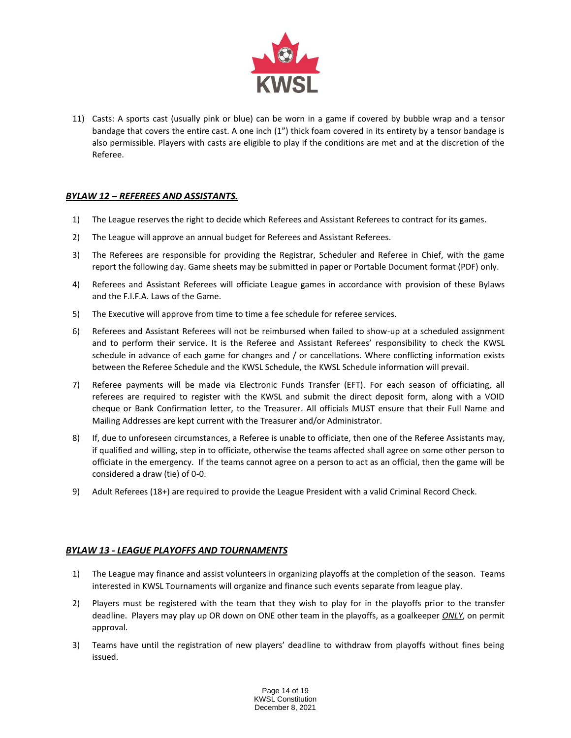

11) Casts: A sports cast (usually pink or blue) can be worn in a game if covered by bubble wrap and a tensor bandage that covers the entire cast. A one inch (1") thick foam covered in its entirety by a tensor bandage is also permissible. Players with casts are eligible to play if the conditions are met and at the discretion of the Referee.

# *BYLAW 12 – REFEREES AND ASSISTANTS.*

- 1) The League reserves the right to decide which Referees and Assistant Referees to contract for its games.
- 2) The League will approve an annual budget for Referees and Assistant Referees.
- 3) The Referees are responsible for providing the Registrar, Scheduler and Referee in Chief, with the game report the following day. Game sheets may be submitted in paper or Portable Document format (PDF) only.
- 4) Referees and Assistant Referees will officiate League games in accordance with provision of these Bylaws and the F.I.F.A. Laws of the Game.
- 5) The Executive will approve from time to time a fee schedule for referee services.
- 6) Referees and Assistant Referees will not be reimbursed when failed to show-up at a scheduled assignment and to perform their service. It is the Referee and Assistant Referees' responsibility to check the KWSL schedule in advance of each game for changes and / or cancellations. Where conflicting information exists between the Referee Schedule and the KWSL Schedule, the KWSL Schedule information will prevail.
- 7) Referee payments will be made via Electronic Funds Transfer (EFT). For each season of officiating, all referees are required to register with the KWSL and submit the direct deposit form, along with a VOID cheque or Bank Confirmation letter, to the Treasurer. All officials MUST ensure that their Full Name and Mailing Addresses are kept current with the Treasurer and/or Administrator.
- 8) If, due to unforeseen circumstances, a Referee is unable to officiate, then one of the Referee Assistants may, if qualified and willing, step in to officiate, otherwise the teams affected shall agree on some other person to officiate in the emergency. If the teams cannot agree on a person to act as an official, then the game will be considered a draw (tie) of 0-0.
- 9) Adult Referees (18+) are required to provide the League President with a valid Criminal Record Check.

# *BYLAW 13 - LEAGUE PLAYOFFS AND TOURNAMENTS*

- 1) The League may finance and assist volunteers in organizing playoffs at the completion of the season. Teams interested in KWSL Tournaments will organize and finance such events separate from league play.
- 2) Players must be registered with the team that they wish to play for in the playoffs prior to the transfer deadline. Players may play up OR down on ONE other team in the playoffs, as a goalkeeper *ONLY*, on permit approval.
- 3) Teams have until the registration of new players' deadline to withdraw from playoffs without fines being issued.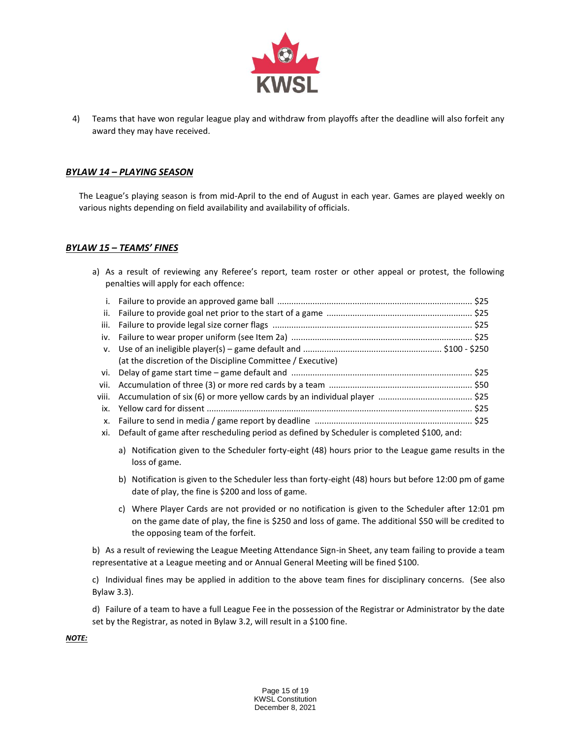

4) Teams that have won regular league play and withdraw from playoffs after the deadline will also forfeit any award they may have received.

# *BYLAW 14 – PLAYING SEASON*

The League's playing season is from mid-April to the end of August in each year. Games are played weekly on various nights depending on field availability and availability of officials.

## *BYLAW 15 – TEAMS' FINES*

a) As a result of reviewing any Referee's report, team roster or other appeal or protest, the following penalties will apply for each offence:

| (at the discretion of the Discipline Committee / Executive)                      |  |
|----------------------------------------------------------------------------------|--|
|                                                                                  |  |
|                                                                                  |  |
| viii. Accumulation of six (6) or more yellow cards by an individual player  \$25 |  |
|                                                                                  |  |
|                                                                                  |  |

- xi. Default of game after rescheduling period as defined by Scheduler is completed \$100, and:
	- a) Notification given to the Scheduler forty-eight (48) hours prior to the League game results in the loss of game.
	- b) Notification is given to the Scheduler less than forty-eight (48) hours but before 12:00 pm of game date of play, the fine is \$200 and loss of game.
	- c) Where Player Cards are not provided or no notification is given to the Scheduler after 12:01 pm on the game date of play, the fine is \$250 and loss of game. The additional \$50 will be credited to the opposing team of the forfeit.

b) As a result of reviewing the League Meeting Attendance Sign-in Sheet, any team failing to provide a team representative at a League meeting and or Annual General Meeting will be fined \$100.

c) Individual fines may be applied in addition to the above team fines for disciplinary concerns. (See also Bylaw 3.3).

d) Failure of a team to have a full League Fee in the possession of the Registrar or Administrator by the date set by the Registrar, as noted in Bylaw 3.2, will result in a \$100 fine.

*NOTE:*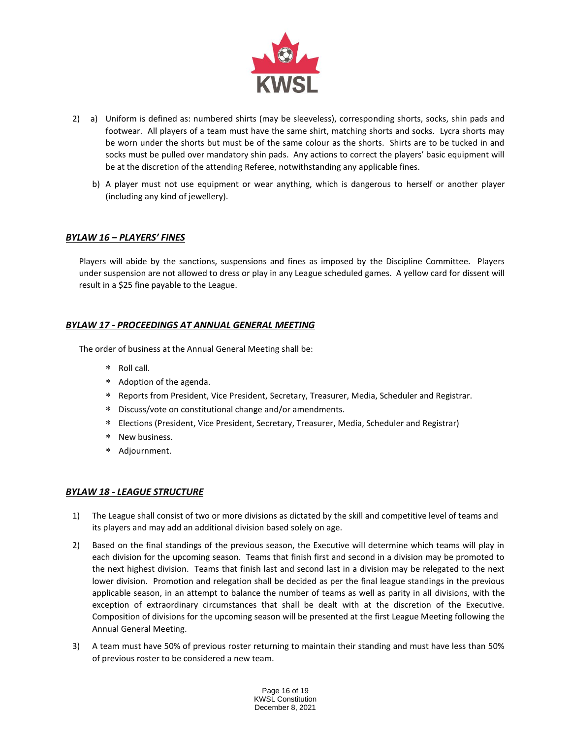

- 2) a) Uniform is defined as: numbered shirts (may be sleeveless), corresponding shorts, socks, shin pads and footwear. All players of a team must have the same shirt, matching shorts and socks. Lycra shorts may be worn under the shorts but must be of the same colour as the shorts. Shirts are to be tucked in and socks must be pulled over mandatory shin pads. Any actions to correct the players' basic equipment will be at the discretion of the attending Referee, notwithstanding any applicable fines.
	- b) A player must not use equipment or wear anything, which is dangerous to herself or another player (including any kind of jewellery).

# *BYLAW 16 – PLAYERS' FINES*

Players will abide by the sanctions, suspensions and fines as imposed by the Discipline Committee. Players under suspension are not allowed to dress or play in any League scheduled games. A yellow card for dissent will result in a \$25 fine payable to the League.

# *BYLAW 17 - PROCEEDINGS AT ANNUAL GENERAL MEETING*

The order of business at the Annual General Meeting shall be:

- Roll call.
- Adoption of the agenda.
- Reports from President, Vice President, Secretary, Treasurer, Media, Scheduler and Registrar.
- Discuss/vote on constitutional change and/or amendments.
- Elections (President, Vice President, Secretary, Treasurer, Media, Scheduler and Registrar)
- \* New business.
- Adjournment.

## *BYLAW 18 - LEAGUE STRUCTURE*

- 1) The League shall consist of two or more divisions as dictated by the skill and competitive level of teams and its players and may add an additional division based solely on age.
- 2) Based on the final standings of the previous season, the Executive will determine which teams will play in each division for the upcoming season. Teams that finish first and second in a division may be promoted to the next highest division. Teams that finish last and second last in a division may be relegated to the next lower division. Promotion and relegation shall be decided as per the final league standings in the previous applicable season, in an attempt to balance the number of teams as well as parity in all divisions, with the exception of extraordinary circumstances that shall be dealt with at the discretion of the Executive. Composition of divisions for the upcoming season will be presented at the first League Meeting following the Annual General Meeting.
- 3) A team must have 50% of previous roster returning to maintain their standing and must have less than 50% of previous roster to be considered a new team.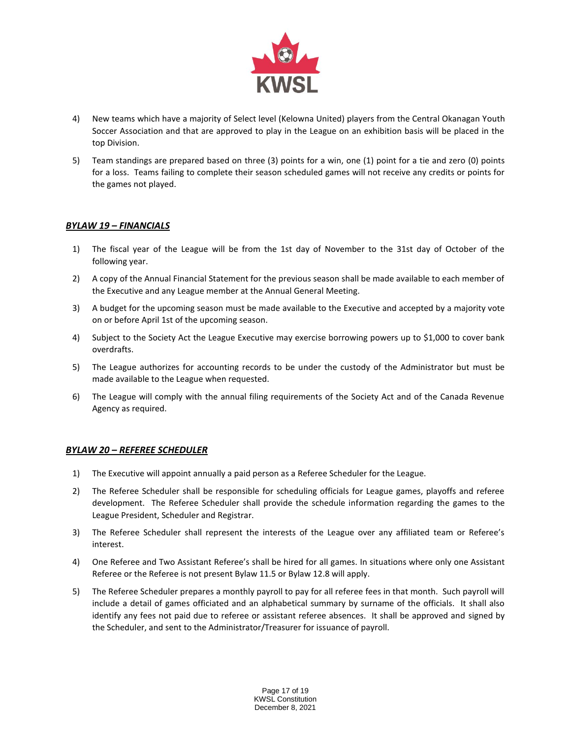

- 4) New teams which have a majority of Select level (Kelowna United) players from the Central Okanagan Youth Soccer Association and that are approved to play in the League on an exhibition basis will be placed in the top Division.
- 5) Team standings are prepared based on three (3) points for a win, one (1) point for a tie and zero (0) points for a loss. Teams failing to complete their season scheduled games will not receive any credits or points for the games not played.

# *BYLAW 19 – FINANCIALS*

- 1) The fiscal year of the League will be from the 1st day of November to the 31st day of October of the following year.
- 2) A copy of the Annual Financial Statement for the previous season shall be made available to each member of the Executive and any League member at the Annual General Meeting.
- 3) A budget for the upcoming season must be made available to the Executive and accepted by a majority vote on or before April 1st of the upcoming season.
- 4) Subject to the Society Act the League Executive may exercise borrowing powers up to \$1,000 to cover bank overdrafts.
- 5) The League authorizes for accounting records to be under the custody of the Administrator but must be made available to the League when requested.
- 6) The League will comply with the annual filing requirements of the Society Act and of the Canada Revenue Agency as required.

## *BYLAW 20 – REFEREE SCHEDULER*

- 1) The Executive will appoint annually a paid person as a Referee Scheduler for the League.
- 2) The Referee Scheduler shall be responsible for scheduling officials for League games, playoffs and referee development. The Referee Scheduler shall provide the schedule information regarding the games to the League President, Scheduler and Registrar.
- 3) The Referee Scheduler shall represent the interests of the League over any affiliated team or Referee's interest.
- 4) One Referee and Two Assistant Referee's shall be hired for all games. In situations where only one Assistant Referee or the Referee is not present Bylaw 11.5 or Bylaw 12.8 will apply.
- 5) The Referee Scheduler prepares a monthly payroll to pay for all referee fees in that month. Such payroll will include a detail of games officiated and an alphabetical summary by surname of the officials. It shall also identify any fees not paid due to referee or assistant referee absences. It shall be approved and signed by the Scheduler, and sent to the Administrator/Treasurer for issuance of payroll.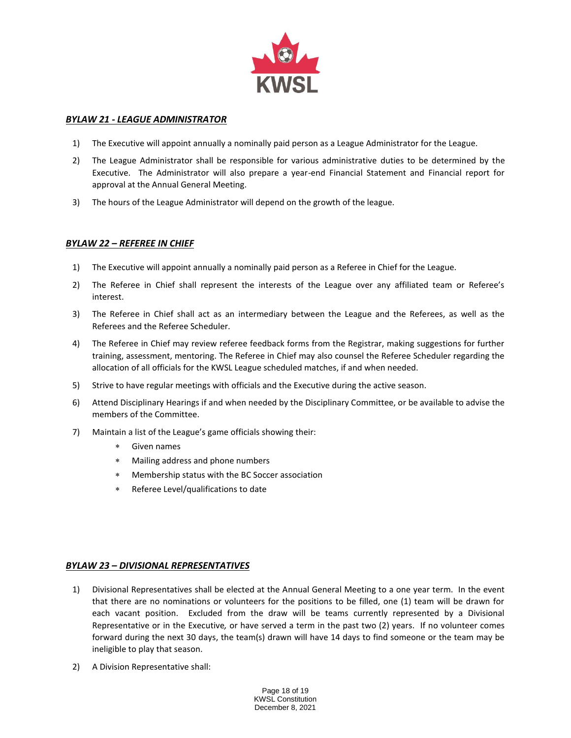

# *BYLAW 21 - LEAGUE ADMINISTRATOR*

- 1) The Executive will appoint annually a nominally paid person as a League Administrator for the League.
- 2) The League Administrator shall be responsible for various administrative duties to be determined by the Executive. The Administrator will also prepare a year-end Financial Statement and Financial report for approval at the Annual General Meeting.
- 3) The hours of the League Administrator will depend on the growth of the league.

## *BYLAW 22 – REFEREE IN CHIEF*

- 1) The Executive will appoint annually a nominally paid person as a Referee in Chief for the League.
- 2) The Referee in Chief shall represent the interests of the League over any affiliated team or Referee's interest.
- 3) The Referee in Chief shall act as an intermediary between the League and the Referees, as well as the Referees and the Referee Scheduler.
- 4) The Referee in Chief may review referee feedback forms from the Registrar, making suggestions for further training, assessment, mentoring. The Referee in Chief may also counsel the Referee Scheduler regarding the allocation of all officials for the KWSL League scheduled matches, if and when needed.
- 5) Strive to have regular meetings with officials and the Executive during the active season.
- 6) Attend Disciplinary Hearings if and when needed by the Disciplinary Committee, or be available to advise the members of the Committee.
- 7) Maintain a list of the League's game officials showing their:
	- Given names
	- Mailing address and phone numbers
	- Membership status with the BC Soccer association
	- Referee Level/qualifications to date

## *BYLAW 23 – DIVISIONAL REPRESENTATIVES*

- 1) Divisional Representatives shall be elected at the Annual General Meeting to a one year term. In the event that there are no nominations or volunteers for the positions to be filled, one (1) team will be drawn for each vacant position. Excluded from the draw will be teams currently represented by a Divisional Representative or in the Executive*,* or have served a term in the past two (2) years. If no volunteer comes forward during the next 30 days, the team(s) drawn will have 14 days to find someone or the team may be ineligible to play that season.
- 2) A Division Representative shall: